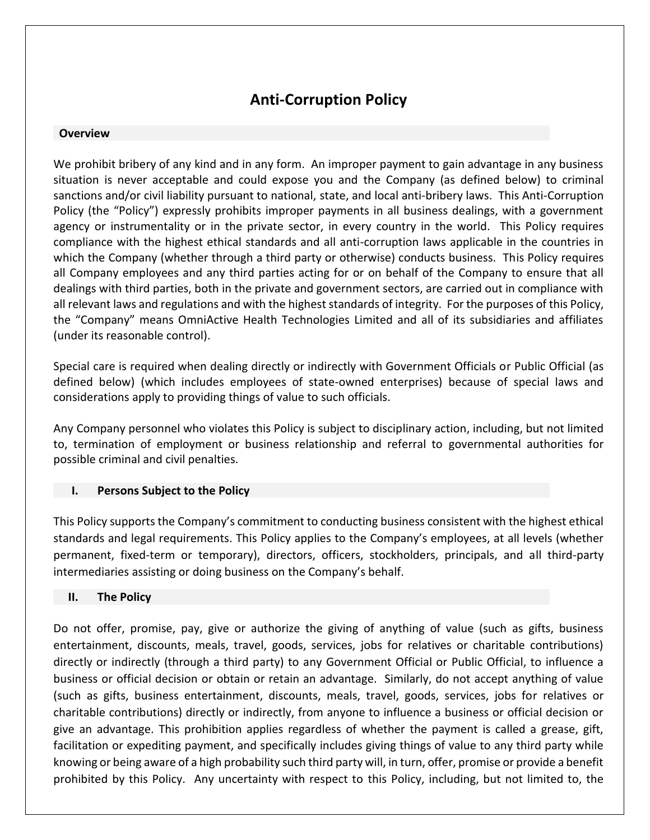# **Anti-Corruption Policy**

### **Overview**

We prohibit bribery of any kind and in any form. An improper payment to gain advantage in any business situation is never acceptable and could expose you and the Company (as defined below) to criminal sanctions and/or civil liability pursuant to national, state, and local anti-bribery laws. This Anti-Corruption Policy (the "Policy") expressly prohibits improper payments in all business dealings, with a government agency or instrumentality or in the private sector, in every country in the world. This Policy requires compliance with the highest ethical standards and all anti-corruption laws applicable in the countries in which the Company (whether through a third party or otherwise) conducts business. This Policy requires all Company employees and any third parties acting for or on behalf of the Company to ensure that all dealings with third parties, both in the private and government sectors, are carried out in compliance with all relevant laws and regulations and with the highest standards of integrity. For the purposes of this Policy, the "Company" means OmniActive Health Technologies Limited and all of its subsidiaries and affiliates (under its reasonable control).

Special care is required when dealing directly or indirectly with Government Officials or Public Official (as defined below) (which includes employees of state-owned enterprises) because of special laws and considerations apply to providing things of value to such officials.

Any Company personnel who violates this Policy is subject to disciplinary action, including, but not limited to, termination of employment or business relationship and referral to governmental authorities for possible criminal and civil penalties.

## **I. Persons Subject to the Policy**

This Policy supports the Company's commitment to conducting business consistent with the highest ethical standards and legal requirements. This Policy applies to the Company's employees, at all levels (whether permanent, fixed-term or temporary), directors, officers, stockholders, principals, and all third-party intermediaries assisting or doing business on the Company's behalf.

### **II. The Policy**

Do not offer, promise, pay, give or authorize the giving of anything of value (such as gifts, business entertainment, discounts, meals, travel, goods, services, jobs for relatives or charitable contributions) directly or indirectly (through a third party) to any Government Official or Public Official, to influence a business or official decision or obtain or retain an advantage. Similarly, do not accept anything of value (such as gifts, business entertainment, discounts, meals, travel, goods, services, jobs for relatives or charitable contributions) directly or indirectly, from anyone to influence a business or official decision or give an advantage. This prohibition applies regardless of whether the payment is called a grease, gift, facilitation or expediting payment, and specifically includes giving things of value to any third party while knowing or being aware of a high probability such third party will, in turn, offer, promise or provide a benefit prohibited by this Policy. Any uncertainty with respect to this Policy, including, but not limited to, the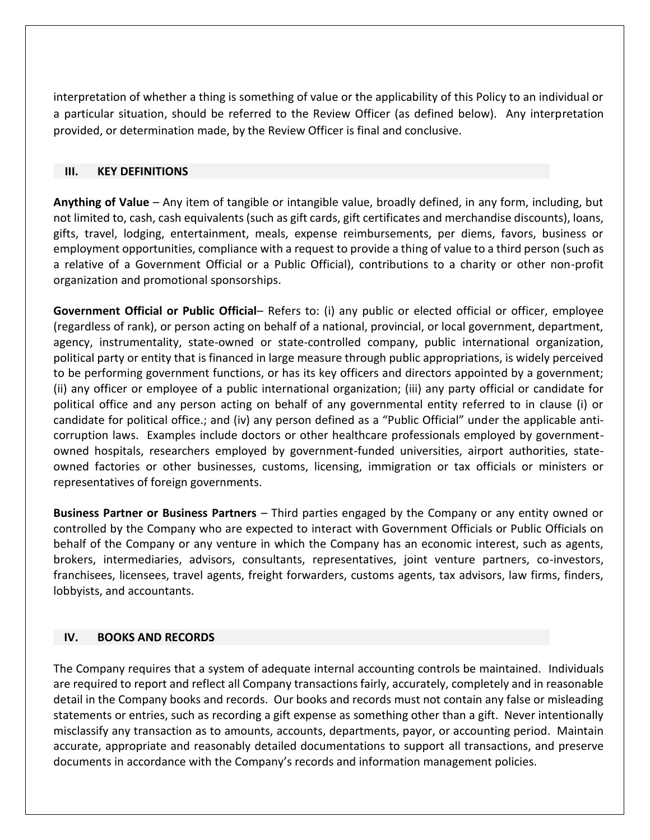interpretation of whether a thing is something of value or the applicability of this Policy to an individual or a particular situation, should be referred to the Review Officer (as defined below). Any interpretation provided, or determination made, by the Review Officer is final and conclusive.

#### **III. KEY DEFINITIONS**

**Anything of Value** – Any item of tangible or intangible value, broadly defined, in any form, including, but not limited to, cash, cash equivalents (such as gift cards, gift certificates and merchandise discounts), loans, gifts, travel, lodging, entertainment, meals, expense reimbursements, per diems, favors, business or employment opportunities, compliance with a request to provide a thing of value to a third person (such as a relative of a Government Official or a Public Official), contributions to a charity or other non-profit organization and promotional sponsorships.

**Government Official or Public Official**– Refers to: (i) any public or elected official or officer, employee (regardless of rank), or person acting on behalf of a national, provincial, or local government, department, agency, instrumentality, state-owned or state-controlled company, public international organization, political party or entity that is financed in large measure through public appropriations, is widely perceived to be performing government functions, or has its key officers and directors appointed by a government; (ii) any officer or employee of a public international organization; (iii) any party official or candidate for political office and any person acting on behalf of any governmental entity referred to in clause (i) or candidate for political office.; and (iv) any person defined as a "Public Official" under the applicable anticorruption laws. Examples include doctors or other healthcare professionals employed by governmentowned hospitals, researchers employed by government-funded universities, airport authorities, stateowned factories or other businesses, customs, licensing, immigration or tax officials or ministers or representatives of foreign governments.

**Business Partner or Business Partners** – Third parties engaged by the Company or any entity owned or controlled by the Company who are expected to interact with Government Officials or Public Officials on behalf of the Company or any venture in which the Company has an economic interest, such as agents, brokers, intermediaries, advisors, consultants, representatives, joint venture partners, co-investors, franchisees, licensees, travel agents, freight forwarders, customs agents, tax advisors, law firms, finders, lobbyists, and accountants.

### **IV. BOOKS AND RECORDS**

The Company requires that a system of adequate internal accounting controls be maintained. Individuals are required to report and reflect all Company transactions fairly, accurately, completely and in reasonable detail in the Company books and records. Our books and records must not contain any false or misleading statements or entries, such as recording a gift expense as something other than a gift. Never intentionally misclassify any transaction as to amounts, accounts, departments, payor, or accounting period. Maintain accurate, appropriate and reasonably detailed documentations to support all transactions, and preserve documents in accordance with the Company's records and information management policies.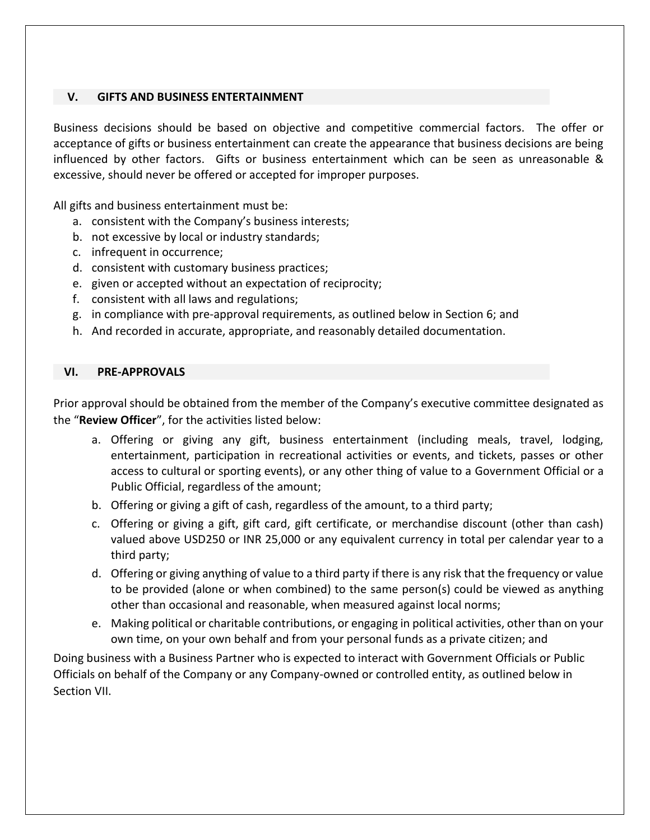### **V. GIFTS AND BUSINESS ENTERTAINMENT**

Business decisions should be based on objective and competitive commercial factors. The offer or acceptance of gifts or business entertainment can create the appearance that business decisions are being influenced by other factors. Gifts or business entertainment which can be seen as unreasonable & excessive, should never be offered or accepted for improper purposes.

All gifts and business entertainment must be:

- a. consistent with the Company's business interests;
- b. not excessive by local or industry standards;
- c. infrequent in occurrence;
- d. consistent with customary business practices;
- e. given or accepted without an expectation of reciprocity;
- f. consistent with all laws and regulations;
- g. in compliance with pre-approval requirements, as outlined below in Section 6; and
- h. And recorded in accurate, appropriate, and reasonably detailed documentation.

#### **VI. PRE-APPROVALS**

Prior approval should be obtained from the member of the Company's executive committee designated as the "**Review Officer**", for the activities listed below:

- a. Offering or giving any gift, business entertainment (including meals, travel, lodging, entertainment, participation in recreational activities or events, and tickets, passes or other access to cultural or sporting events), or any other thing of value to a Government Official or a Public Official, regardless of the amount;
- b. Offering or giving a gift of cash, regardless of the amount, to a third party;
- c. Offering or giving a gift, gift card, gift certificate, or merchandise discount (other than cash) valued above USD250 or INR 25,000 or any equivalent currency in total per calendar year to a third party;
- d. Offering or giving anything of value to a third party if there is any risk that the frequency or value to be provided (alone or when combined) to the same person(s) could be viewed as anything other than occasional and reasonable, when measured against local norms;
- e. Making political or charitable contributions, or engaging in political activities, other than on your own time, on your own behalf and from your personal funds as a private citizen; and

Doing business with a Business Partner who is expected to interact with Government Officials or Public Officials on behalf of the Company or any Company-owned or controlled entity, as outlined below in Section VII.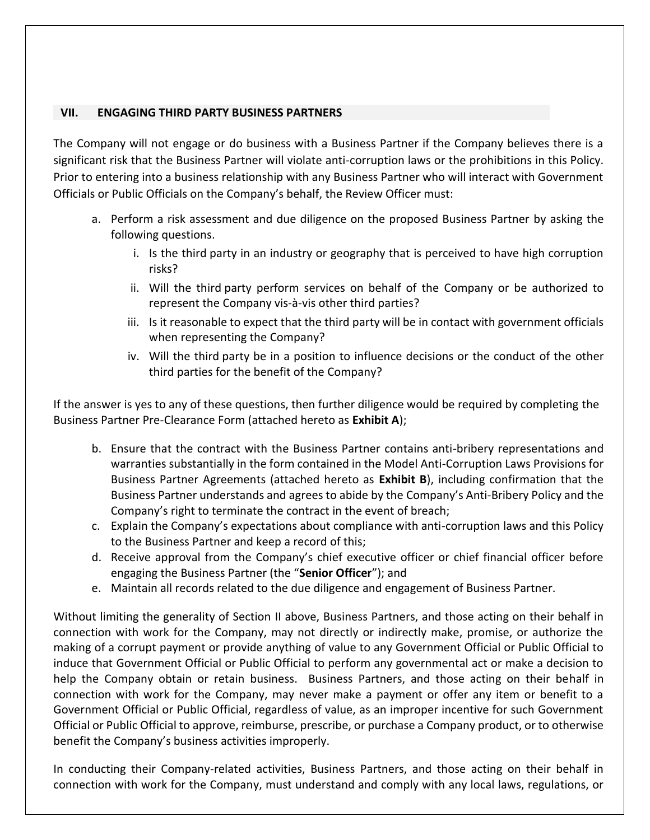### **VII. ENGAGING THIRD PARTY BUSINESS PARTNERS**

The Company will not engage or do business with a Business Partner if the Company believes there is a significant risk that the Business Partner will violate anti-corruption laws or the prohibitions in this Policy. Prior to entering into a business relationship with any Business Partner who will interact with Government Officials or Public Officials on the Company's behalf, the Review Officer must:

- a. Perform a risk assessment and due diligence on the proposed Business Partner by asking the following questions.
	- i. Is the third party in an industry or geography that is perceived to have high corruption risks?
	- ii. Will the third party perform services on behalf of the Company or be authorized to represent the Company vis-à-vis other third parties?
	- iii. Is it reasonable to expect that the third party will be in contact with government officials when representing the Company?
	- iv. Will the third party be in a position to influence decisions or the conduct of the other third parties for the benefit of the Company?

If the answer is yes to any of these questions, then further diligence would be required by completing the Business Partner Pre-Clearance Form (attached hereto as **Exhibit A**);

- b. Ensure that the contract with the Business Partner contains anti-bribery representations and warranties substantially in the form contained in the Model Anti-Corruption Laws Provisions for Business Partner Agreements (attached hereto as **Exhibit B**), including confirmation that the Business Partner understands and agrees to abide by the Company's Anti-Bribery Policy and the Company's right to terminate the contract in the event of breach;
- c. Explain the Company's expectations about compliance with anti-corruption laws and this Policy to the Business Partner and keep a record of this;
- d. Receive approval from the Company's chief executive officer or chief financial officer before engaging the Business Partner (the "**Senior Officer**"); and
- e. Maintain all records related to the due diligence and engagement of Business Partner.

Without limiting the generality of Section II above, Business Partners, and those acting on their behalf in connection with work for the Company, may not directly or indirectly make, promise, or authorize the making of a corrupt payment or provide anything of value to any Government Official or Public Official to induce that Government Official or Public Official to perform any governmental act or make a decision to help the Company obtain or retain business. Business Partners, and those acting on their behalf in connection with work for the Company, may never make a payment or offer any item or benefit to a Government Official or Public Official, regardless of value, as an improper incentive for such Government Official or Public Official to approve, reimburse, prescribe, or purchase a Company product, or to otherwise benefit the Company's business activities improperly.

In conducting their Company-related activities, Business Partners, and those acting on their behalf in connection with work for the Company, must understand and comply with any local laws, regulations, or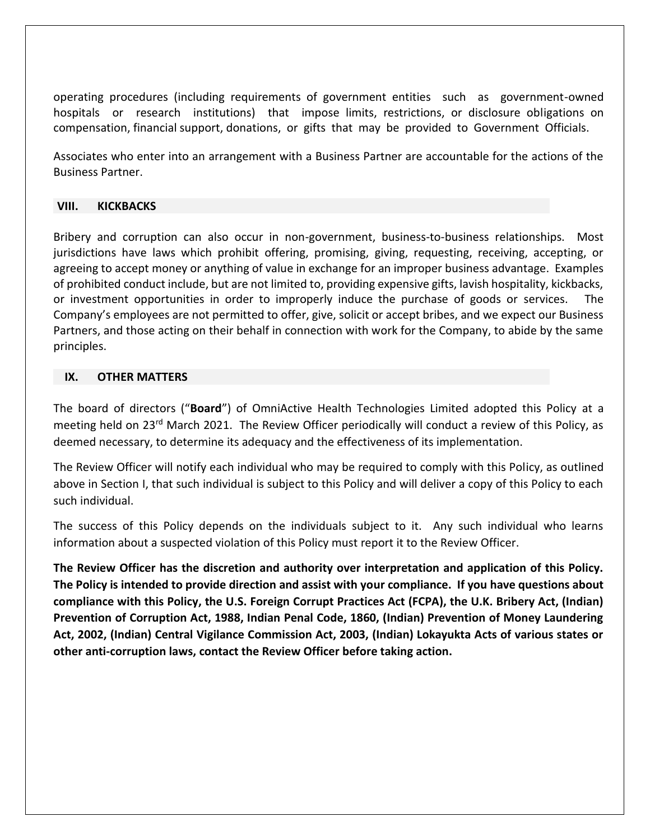operating procedures (including requirements of government entities such as government-owned hospitals or research institutions) that impose limits, restrictions, or disclosure obligations on compensation, financial support, donations, or gifts that may be provided to Government Officials.

Associates who enter into an arrangement with a Business Partner are accountable for the actions of the Business Partner.

#### **VIII. KICKBACKS**

Bribery and corruption can also occur in non-government, business-to-business relationships. Most jurisdictions have laws which prohibit offering, promising, giving, requesting, receiving, accepting, or agreeing to accept money or anything of value in exchange for an improper business advantage. Examples of prohibited conduct include, but are not limited to, providing expensive gifts, lavish hospitality, kickbacks, or investment opportunities in order to improperly induce the purchase of goods or services. The Company's employees are not permitted to offer, give, solicit or accept bribes, and we expect our Business Partners, and those acting on their behalf in connection with work for the Company, to abide by the same principles.

### **IX. OTHER MATTERS**

The board of directors ("**Board**") of OmniActive Health Technologies Limited adopted this Policy at a meeting held on 23<sup>rd</sup> March 2021. The Review Officer periodically will conduct a review of this Policy, as deemed necessary, to determine its adequacy and the effectiveness of its implementation.

The Review Officer will notify each individual who may be required to comply with this Policy, as outlined above in Section I, that such individual is subject to this Policy and will deliver a copy of this Policy to each such individual.

The success of this Policy depends on the individuals subject to it. Any such individual who learns information about a suspected violation of this Policy must report it to the Review Officer.

**The Review Officer has the discretion and authority over interpretation and application of this Policy. The Policy is intended to provide direction and assist with your compliance. If you have questions about compliance with this Policy, the U.S. Foreign Corrupt Practices Act (FCPA), the U.K. Bribery Act, (Indian) Prevention of Corruption Act, 1988, Indian Penal Code, 1860, (Indian) Prevention of Money Laundering Act, 2002, (Indian) Central Vigilance Commission Act, 2003, (Indian) Lokayukta Acts of various states or other anti-corruption laws, contact the Review Officer before taking action.**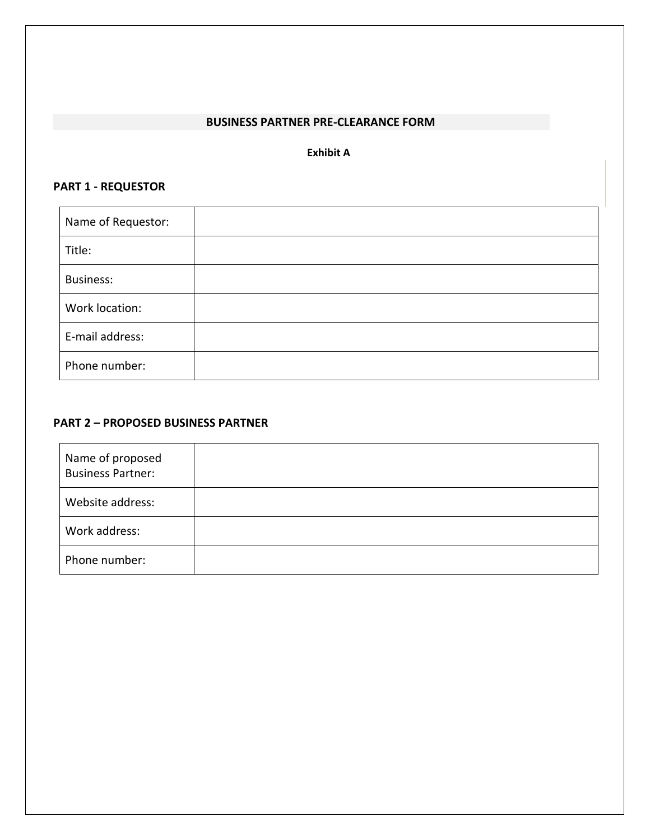#### **BUSINESS PARTNER PRE-CLEARANCE FORM**

#### **Exhibit A**

## **PART 1 - REQUESTOR**

| Name of Requestor: |  |
|--------------------|--|
| Title:             |  |
| <b>Business:</b>   |  |
| Work location:     |  |
| E-mail address:    |  |
| Phone number:      |  |

## **PART 2 – PROPOSED BUSINESS PARTNER**

| Name of proposed<br><b>Business Partner:</b> |  |
|----------------------------------------------|--|
| Website address:                             |  |
| Work address:                                |  |
| Phone number:                                |  |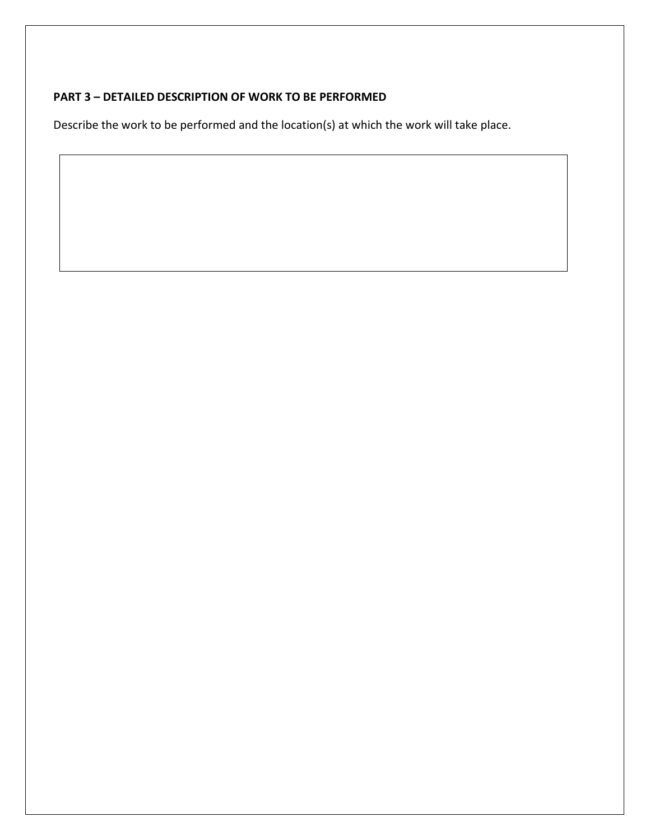# **PART 3 – DETAILED DESCRIPTION OF WORK TO BE PERFORMED**

Describe the work to be performed and the location(s) at which the work will take place.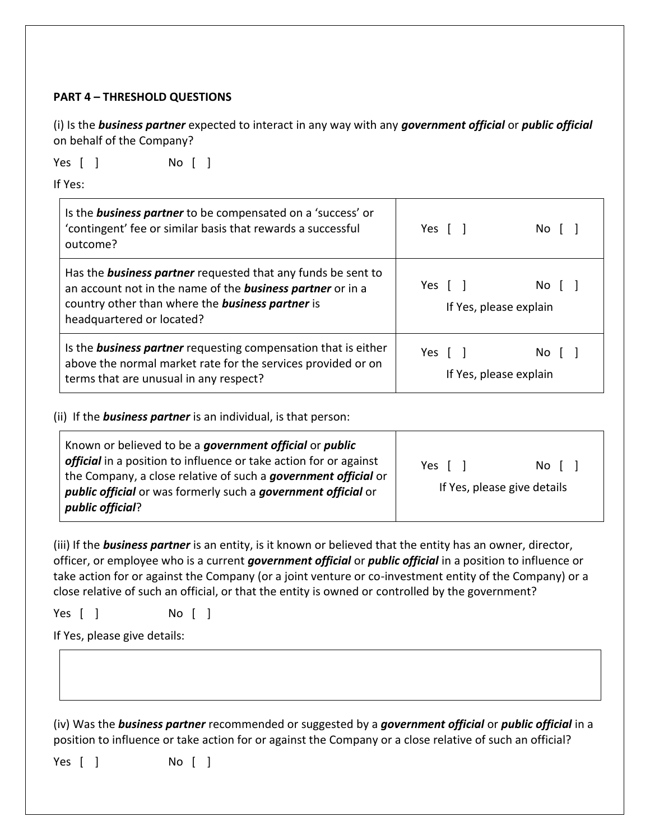## **PART 4 – THRESHOLD QUESTIONS**

(i) Is the *business partner* expected to interact in any way with any *government official* or *public official*  on behalf of the Company?

Yes [ ] No [ ]

If Yes:

| Is the <b>business partner</b> to be compensated on a 'success' or<br>'contingent' fee or similar basis that rewards a successful<br>outcome?                                                                                    | Yes $\lceil \rceil$<br>$No$ $\lceil$ $\rceil$              |  |
|----------------------------------------------------------------------------------------------------------------------------------------------------------------------------------------------------------------------------------|------------------------------------------------------------|--|
| Has the <b>business partner</b> requested that any funds be sent to<br>an account not in the name of the <b>business partner</b> or in a<br>country other than where the <b>business partner</b> is<br>headquartered or located? | Yes $\lceil \; \rceil$<br>No [ ]<br>If Yes, please explain |  |
| Is the <b>business partner</b> requesting compensation that is either<br>above the normal market rate for the services provided or on<br>terms that are unusual in any respect?                                                  | Yes [ ]<br>No II<br>If Yes, please explain                 |  |

## (ii) If the *business partner* is an individual, is that person:

| Known or believed to be a government official or public<br>official in a position to influence or take action for or against    | Yes [ | No [                        |
|---------------------------------------------------------------------------------------------------------------------------------|-------|-----------------------------|
| the Company, a close relative of such a government official or<br>public official or was formerly such a government official or |       | If Yes, please give details |
| public official?                                                                                                                |       |                             |

(iii) If the *business partner* is an entity, is it known or believed that the entity has an owner, director, officer, or employee who is a current *government official* or *public official* in a position to influence or take action for or against the Company (or a joint venture or co-investment entity of the Company) or a close relative of such an official, or that the entity is owned or controlled by the government?

Yes [ ] No [ ]

If Yes, please give details:

(iv) Was the *business partner* recommended or suggested by a *government official* or *public official* in a position to influence or take action for or against the Company or a close relative of such an official?

Yes [ ] No [ ]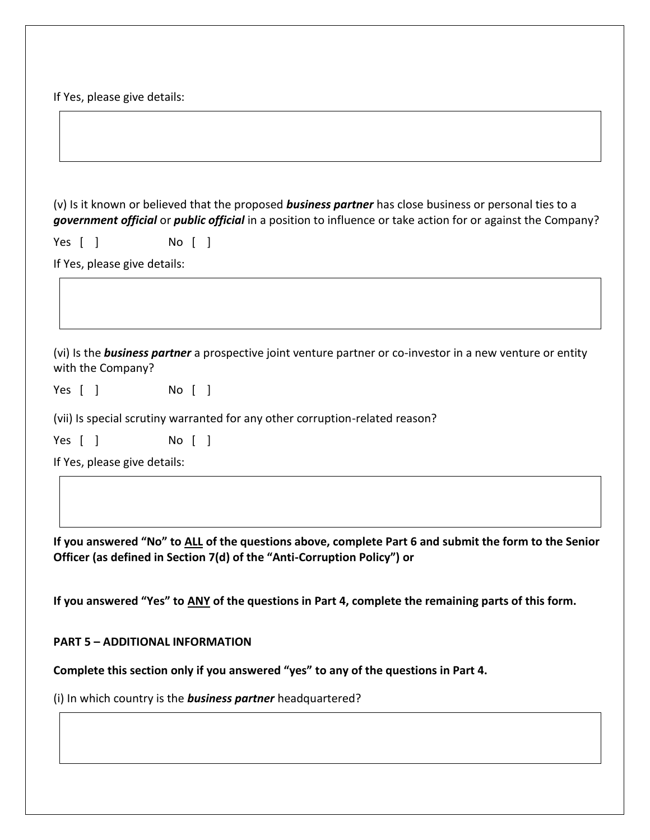If Yes, please give details:

(v) Is it known or believed that the proposed *business partner* has close business or personal ties to a *government official* or *public official* in a position to influence or take action for or against the Company?

Yes [ ] No [ ]

If Yes, please give details:

(vi) Is the *business partner* a prospective joint venture partner or co-investor in a new venture or entity with the Company?

Yes [ ] No [ ]

(vii) Is special scrutiny warranted for any other corruption-related reason?

Yes [ ] No [ ]

If Yes, please give details:

**If you answered "No" to ALL of the questions above, complete Part 6 and submit the form to the Senior Officer (as defined in Section 7(d) of the "Anti-Corruption Policy") or**

**If you answered "Yes" to ANY of the questions in Part 4, complete the remaining parts of this form.**

### **PART 5 – ADDITIONAL INFORMATION**

**Complete this section only if you answered "yes" to any of the questions in Part 4.** 

(i) In which country is the *business partner* headquartered?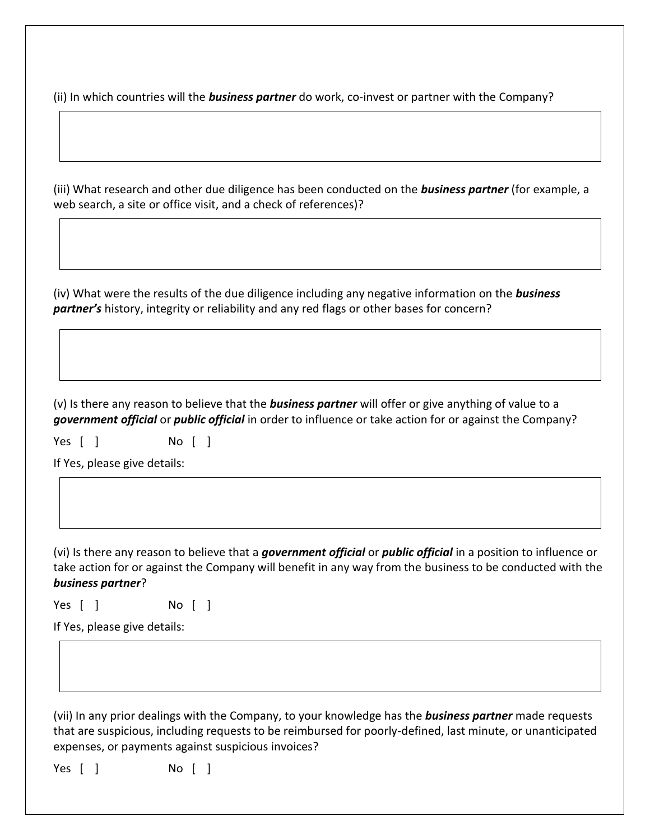(ii) In which countries will the *business partner* do work, co-invest or partner with the Company?

(iii) What research and other due diligence has been conducted on the *business partner* (for example, a web search, a site or office visit, and a check of references)?

(iv) What were the results of the due diligence including any negative information on the *business partner's* history, integrity or reliability and any red flags or other bases for concern?

(v) Is there any reason to believe that the *business partner* will offer or give anything of value to a *government official* or *public official* in order to influence or take action for or against the Company?

Yes [ ] No [ ]

If Yes, please give details:

(vi) Is there any reason to believe that a *government official* or *public official* in a position to influence or take action for or against the Company will benefit in any way from the business to be conducted with the *business partner*?

Yes [ ] No [ ]

If Yes, please give details:

(vii) In any prior dealings with the Company, to your knowledge has the *business partner* made requests that are suspicious, including requests to be reimbursed for poorly-defined, last minute, or unanticipated expenses, or payments against suspicious invoices?

Yes [ ] No [ ]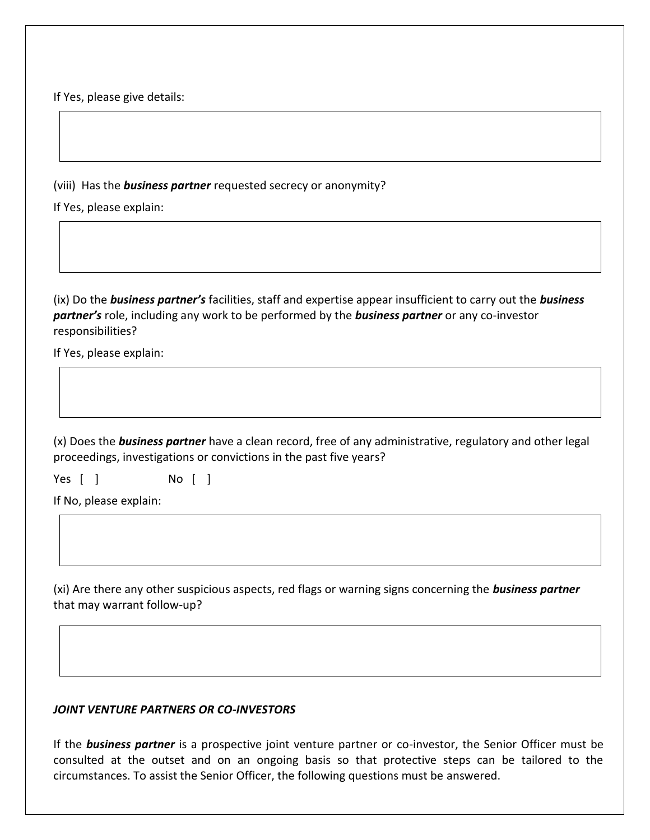If Yes, please give details:

(viii) Has the *business partner* requested secrecy or anonymity?

If Yes, please explain:

(ix) Do the *business partner's* facilities, staff and expertise appear insufficient to carry out the *business partner's* role, including any work to be performed by the *business partner* or any co-investor responsibilities?

If Yes, please explain:

(x) Does the *business partner* have a clean record, free of any administrative, regulatory and other legal proceedings, investigations or convictions in the past five years?

Yes [ ] No [ ]

If No, please explain:

(xi) Are there any other suspicious aspects, red flags or warning signs concerning the *business partner*  that may warrant follow-up?

### *JOINT VENTURE PARTNERS OR CO-INVESTORS*

If the *business partner* is a prospective joint venture partner or co-investor, the Senior Officer must be consulted at the outset and on an ongoing basis so that protective steps can be tailored to the circumstances. To assist the Senior Officer, the following questions must be answered.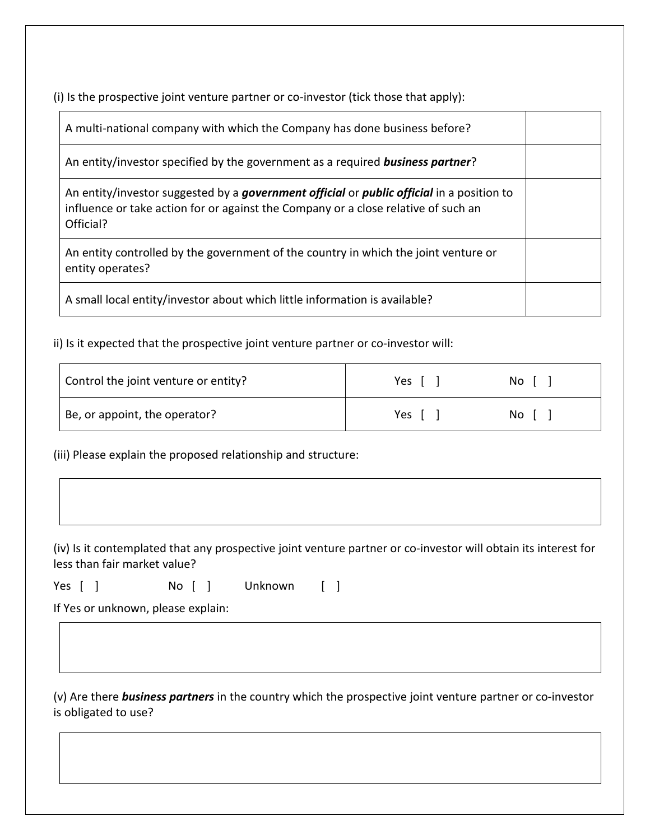(i) Is the prospective joint venture partner or co-investor (tick those that apply):

| A multi-national company with which the Company has done business before?                                                                                                                    |  |
|----------------------------------------------------------------------------------------------------------------------------------------------------------------------------------------------|--|
| An entity/investor specified by the government as a required <b>business partner</b> ?                                                                                                       |  |
| An entity/investor suggested by a government official or public official in a position to<br>influence or take action for or against the Company or a close relative of such an<br>Official? |  |
| An entity controlled by the government of the country in which the joint venture or<br>entity operates?                                                                                      |  |
| A small local entity/investor about which little information is available?                                                                                                                   |  |

ii) Is it expected that the prospective joint venture partner or co-investor will:

| Control the joint venture or entity? | Yes | No I |
|--------------------------------------|-----|------|
| Be, or appoint, the operator?        | Yes | No I |

(iii) Please explain the proposed relationship and structure:

(iv) Is it contemplated that any prospective joint venture partner or co-investor will obtain its interest for less than fair market value?

Yes [ ] No [ ] Unknown [ ]

If Yes or unknown, please explain:

(v) Are there *business partners* in the country which the prospective joint venture partner or co-investor is obligated to use?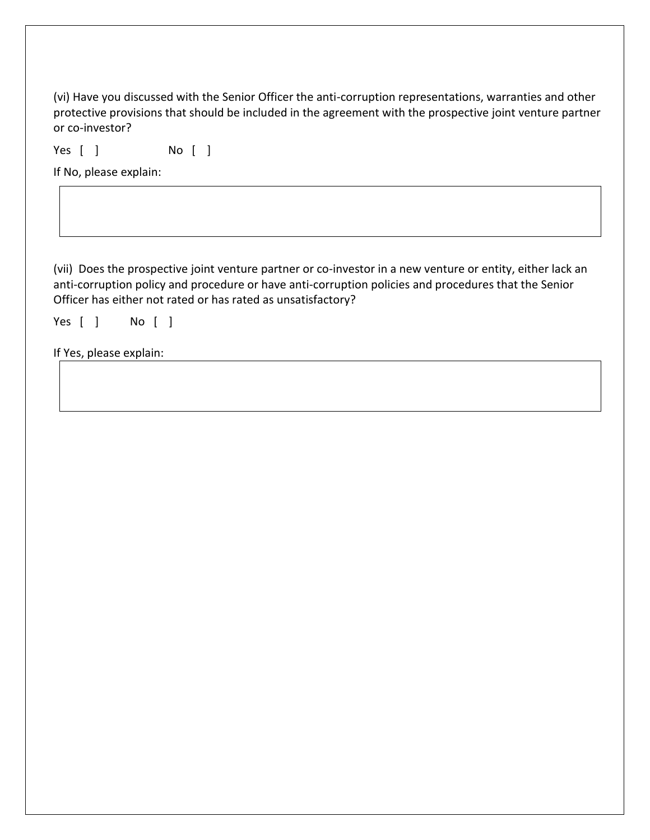(vi) Have you discussed with the Senior Officer the anti-corruption representations, warranties and other protective provisions that should be included in the agreement with the prospective joint venture partner or co-investor?

Yes [ ] No [ ]

If No, please explain:

(vii) Does the prospective joint venture partner or co-investor in a new venture or entity, either lack an anti-corruption policy and procedure or have anti-corruption policies and procedures that the Senior Officer has either not rated or has rated as unsatisfactory?

Yes [ ] No [ ]

If Yes, please explain: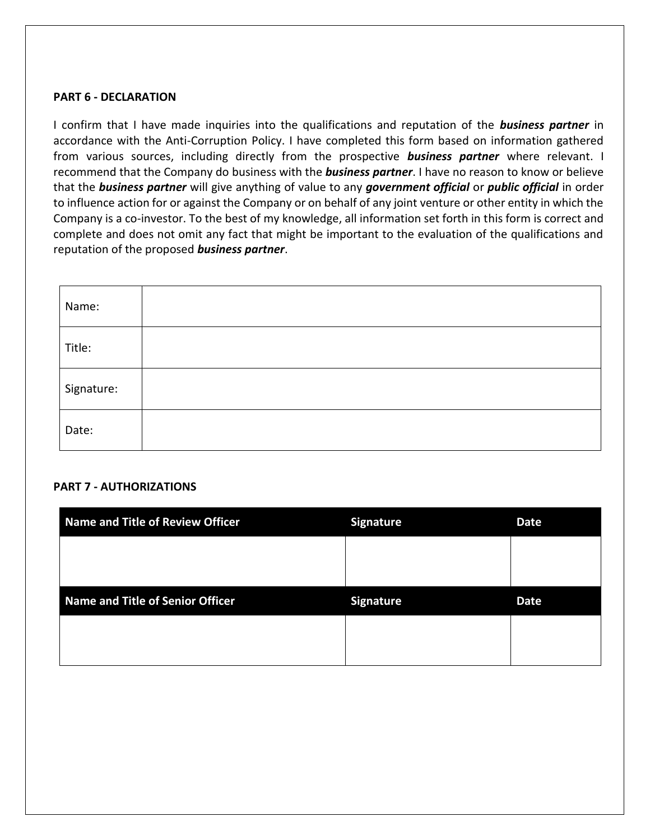#### **PART 6 - DECLARATION**

I confirm that I have made inquiries into the qualifications and reputation of the *business partner* in accordance with the Anti-Corruption Policy. I have completed this form based on information gathered from various sources, including directly from the prospective *business partner* where relevant. I recommend that the Company do business with the *business partner*. I have no reason to know or believe that the *business partner* will give anything of value to any *government official* or *public official* in order to influence action for or against the Company or on behalf of any joint venture or other entity in which the Company is a co-investor. To the best of my knowledge, all information set forth in this form is correct and complete and does not omit any fact that might be important to the evaluation of the qualifications and reputation of the proposed *business partner*.

| Name:      |  |
|------------|--|
| Title:     |  |
| Signature: |  |
| Date:      |  |

### **PART 7 - AUTHORIZATIONS**

| <b>Name and Title of Review Officer</b> | <b>Signature</b> | <b>Date</b> |
|-----------------------------------------|------------------|-------------|
|                                         |                  |             |
|                                         |                  |             |
|                                         |                  |             |
| <b>Name and Title of Senior Officer</b> | <b>Signature</b> | <b>Date</b> |
|                                         |                  |             |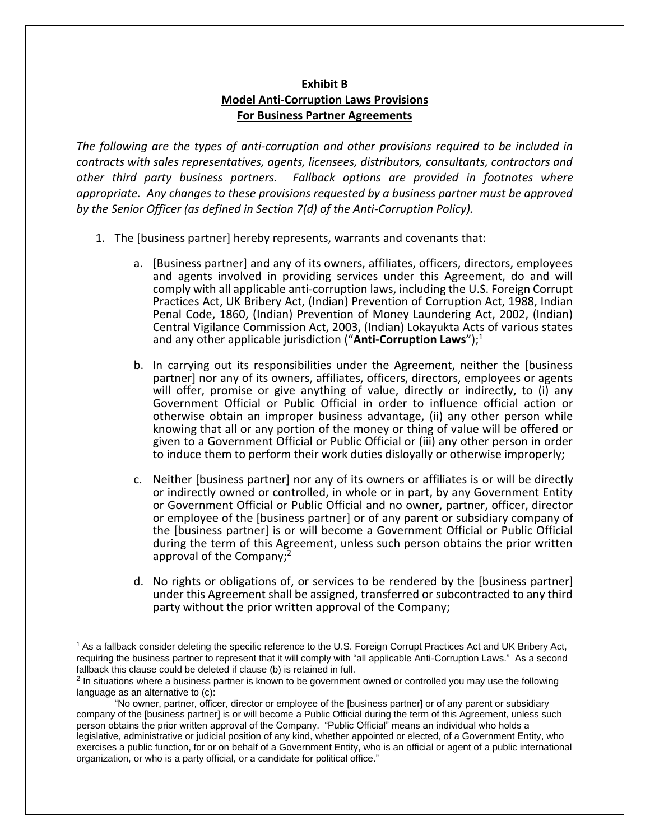## **Exhibit B Model Anti-Corruption Laws Provisions For Business Partner Agreements**

*The following are the types of anti-corruption and other provisions required to be included in contracts with sales representatives, agents, licensees, distributors, consultants, contractors and other third party business partners. Fallback options are provided in footnotes where appropriate. Any changes to these provisions requested by a business partner must be approved by the Senior Officer (as defined in Section 7(d) of the Anti-Corruption Policy).*

- 1. The [business partner] hereby represents, warrants and covenants that:
	- a. [Business partner] and any of its owners, affiliates, officers, directors, employees and agents involved in providing services under this Agreement, do and will comply with all applicable anti-corruption laws, including the U.S. Foreign Corrupt Practices Act, UK Bribery Act, (Indian) Prevention of Corruption Act, 1988, Indian Penal Code, 1860, (Indian) Prevention of Money Laundering Act, 2002, (Indian) Central Vigilance Commission Act, 2003, (Indian) Lokayukta Acts of various states and any other applicable jurisdiction ("Anti-Corruption Laws");<sup>1</sup>
	- b. In carrying out its responsibilities under the Agreement, neither the [business partner] nor any of its owners, affiliates, officers, directors, employees or agents will offer, promise or give anything of value, directly or indirectly, to (i) any Government Official or Public Official in order to influence official action or otherwise obtain an improper business advantage, (ii) any other person while knowing that all or any portion of the money or thing of value will be offered or given to a Government Official or Public Official or (iii) any other person in order to induce them to perform their work duties disloyally or otherwise improperly;
	- c. Neither [business partner] nor any of its owners or affiliates is or will be directly or indirectly owned or controlled, in whole or in part, by any Government Entity or Government Official or Public Official and no owner, partner, officer, director or employee of the [business partner] or of any parent or subsidiary company of the [business partner] is or will become a Government Official or Public Official during the term of this Agreement, unless such person obtains the prior written approval of the Company;<sup>2</sup>
	- d. No rights or obligations of, or services to be rendered by the [business partner] under this Agreement shall be assigned, transferred or subcontracted to any third party without the prior written approval of the Company;

<sup>&</sup>lt;sup>1</sup> As a fallback consider deleting the specific reference to the U.S. Foreign Corrupt Practices Act and UK Bribery Act, requiring the business partner to represent that it will comply with "all applicable Anti-Corruption Laws." As a second fallback this clause could be deleted if clause (b) is retained in full.

<sup>&</sup>lt;sup>2</sup> In situations where a business partner is known to be government owned or controlled you may use the following language as an alternative to (c):

<sup>&</sup>quot;No owner, partner, officer, director or employee of the [business partner] or of any parent or subsidiary company of the [business partner] is or will become a Public Official during the term of this Agreement, unless such person obtains the prior written approval of the Company. "Public Official" means an individual who holds a legislative, administrative or judicial position of any kind, whether appointed or elected, of a Government Entity, who exercises a public function, for or on behalf of a Government Entity, who is an official or agent of a public international organization, or who is a party official, or a candidate for political office."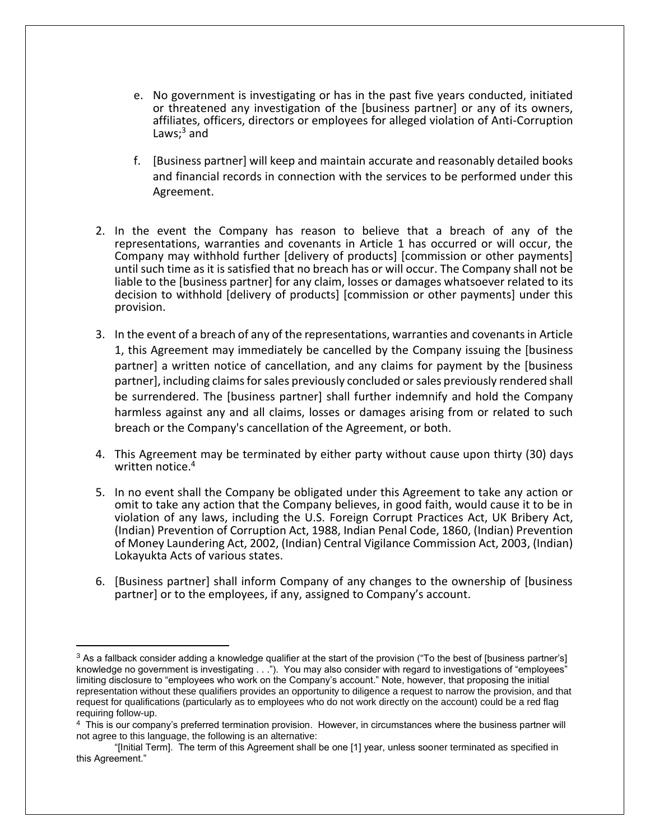- e. No government is investigating or has in the past five years conducted, initiated or threatened any investigation of the [business partner] or any of its owners, affiliates, officers, directors or employees for alleged violation of Anti-Corruption Laws; $<sup>3</sup>$  and</sup>
- f. [Business partner] will keep and maintain accurate and reasonably detailed books and financial records in connection with the services to be performed under this Agreement.
- 2. In the event the Company has reason to believe that a breach of any of the representations, warranties and covenants in Article 1 has occurred or will occur, the Company may withhold further [delivery of products] [commission or other payments] until such time as it is satisfied that no breach has or will occur. The Company shall not be liable to the [business partner] for any claim, losses or damages whatsoever related to its decision to withhold [delivery of products] [commission or other payments] under this provision.
- 3. In the event of a breach of any of the representations, warranties and covenants in Article 1, this Agreement may immediately be cancelled by the Company issuing the [business partner] a written notice of cancellation, and any claims for payment by the [business partner], including claims for sales previously concluded or sales previously rendered shall be surrendered. The [business partner] shall further indemnify and hold the Company harmless against any and all claims, losses or damages arising from or related to such breach or the Company's cancellation of the Agreement, or both.
- 4. This Agreement may be terminated by either party without cause upon thirty (30) days written notice.<sup>4</sup>
- 5. In no event shall the Company be obligated under this Agreement to take any action or omit to take any action that the Company believes, in good faith, would cause it to be in violation of any laws, including the U.S. Foreign Corrupt Practices Act, UK Bribery Act, (Indian) Prevention of Corruption Act, 1988, Indian Penal Code, 1860, (Indian) Prevention of Money Laundering Act, 2002, (Indian) Central Vigilance Commission Act, 2003, (Indian) Lokayukta Acts of various states.
- 6. [Business partner] shall inform Company of any changes to the ownership of [business partner] or to the employees, if any, assigned to Company's account.

<sup>&</sup>lt;sup>3</sup> As a fallback consider adding a knowledge qualifier at the start of the provision ("To the best of [business partner's] knowledge no government is investigating . . ."). You may also consider with regard to investigations of "employees" limiting disclosure to "employees who work on the Company's account." Note, however, that proposing the initial representation without these qualifiers provides an opportunity to diligence a request to narrow the provision, and that request for qualifications (particularly as to employees who do not work directly on the account) could be a red flag requiring follow-up.

<sup>4</sup> This is our company's preferred termination provision. However, in circumstances where the business partner will not agree to this language, the following is an alternative:

<sup>&</sup>quot;[Initial Term]. The term of this Agreement shall be one [1] year, unless sooner terminated as specified in this Agreement."